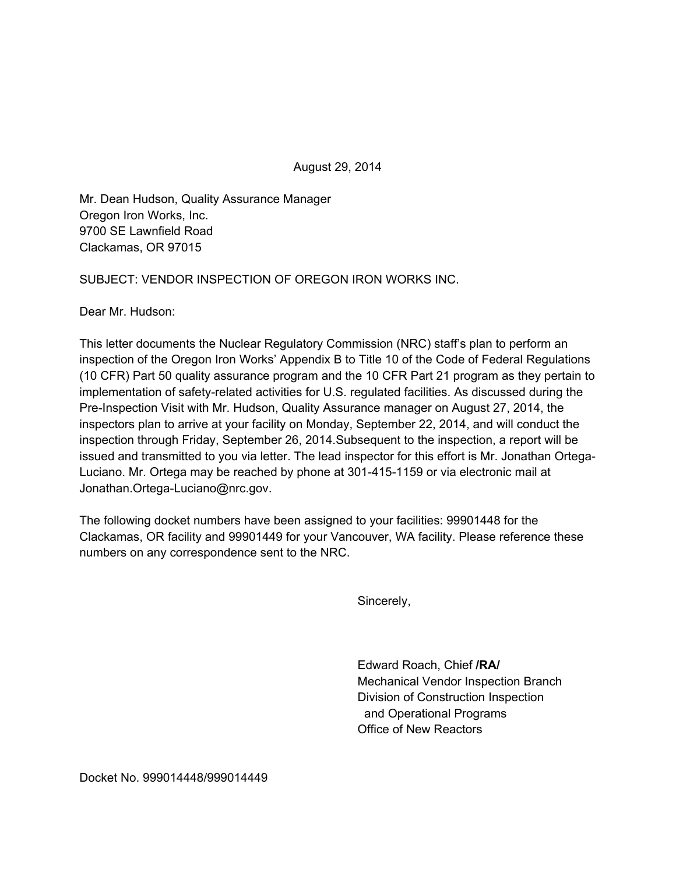August 29, 2014

Mr. Dean Hudson, Quality Assurance Manager Oregon Iron Works, Inc. 9700 SE Lawnfield Road Clackamas, OR 97015

SUBJECT: VENDOR INSPECTION OF OREGON IRON WORKS INC.

Dear Mr. Hudson:

This letter documents the Nuclear Regulatory Commission (NRC) staff's plan to perform an inspection of the Oregon Iron Works' Appendix B to Title 10 of the Code of Federal Regulations (10 CFR) Part 50 quality assurance program and the 10 CFR Part 21 program as they pertain to implementation of safety-related activities for U.S. regulated facilities. As discussed during the Pre-Inspection Visit with Mr. Hudson, Quality Assurance manager on August 27, 2014, the inspectors plan to arrive at your facility on Monday, September 22, 2014, and will conduct the inspection through Friday, September 26, 2014.Subsequent to the inspection, a report will be issued and transmitted to you via letter. The lead inspector for this effort is Mr. Jonathan Ortega-Luciano. Mr. Ortega may be reached by phone at 301-415-1159 or via electronic mail at Jonathan.Ortega-Luciano@nrc.gov.

The following docket numbers have been assigned to your facilities: 99901448 for the Clackamas, OR facility and 99901449 for your Vancouver, WA facility. Please reference these numbers on any correspondence sent to the NRC.

Sincerely,

Edward Roach, Chief **/RA/**  Mechanical Vendor Inspection Branch Division of Construction Inspection and Operational Programs Office of New Reactors

Docket No. 999014448/999014449